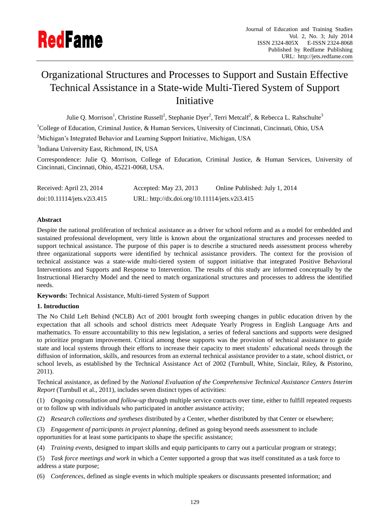# Organizational Structures and Processes to Support and Sustain Effective Technical Assistance in a State-wide Multi-Tiered System of Support Initiative

Julie Q. Morrison<sup>1</sup>, Christine Russell<sup>2</sup>, Stephanie Dyer<sup>2</sup>, Terri Metcalf<sup>2</sup>, & Rebecca L. Rahschulte<sup>3</sup>  $1$ College of Education, Criminal Justice, & Human Services, University of Cincinnati, Cincinnati, Ohio, USA

<sup>2</sup>Michigan's Integrated Behavior and Learning Support Initiative, Michigan, USA

<sup>3</sup>Indiana University East, Richmond, IN, USA

Correspondence: Julie Q. Morrison, College of Education, Criminal Justice, & Human Services, University of Cincinnati, Cincinnati, Ohio, 45221-0068, USA.

| Received: April 23, 2014   | Accepted: May 23, 2013                        | Online Published: July 1, 2014 |
|----------------------------|-----------------------------------------------|--------------------------------|
| doi:10.11114/jets.v2i3.415 | URL: http://dx.doi.org/10.11114/jets.v2i3.415 |                                |

# **Abstract**

Despite the national proliferation of technical assistance as a driver for school reform and as a model for embedded and sustained professional development, very little is known about the organizational structures and processes needed to support technical assistance. The purpose of this paper is to describe a structured needs assessment process whereby three organizational supports were identified by technical assistance providers. The context for the provision of technical assistance was a state-wide multi-tiered system of support initiative that integrated Positive Behavioral Interventions and Supports and Response to Intervention. The results of this study are informed conceptually by the Instructional Hierarchy Model and the need to match organizational structures and processes to address the identified needs.

**Keywords:** Technical Assistance, Multi-tiered System of Support

## **1. Introduction**

The No Child Left Behind (NCLB) Act of 2001 brought forth sweeping changes in public education driven by the expectation that all schools and school districts meet Adequate Yearly Progress in English Language Arts and mathematics. To ensure accountability to this new legislation, a series of federal sanctions and supports were designed to prioritize program improvement. Critical among these supports was the provision of technical assistance to guide state and local systems through their efforts to increase their capacity to meet students' educational needs through the diffusion of information, skills, and resources from an external technical assistance provider to a state, school district, or school levels, as established by the Technical Assistance Act of 2002 (Turnbull, White, Sinclair, Riley, & Pistorino, 2011).

Technical assistance, as defined by the *National Evaluation of the Comprehensive Technical Assistance Centers Interim Report* (Turnbull et al., 2011), includes seven distinct types of activities:

(1) *Ongoing consultation and follow-up* through multiple service contracts over time, either to fulfill repeated requests or to follow up with individuals who participated in another assistance activity;

- (2) *Research collections and syntheses* distributed by a Center, whether distributed by that Center or elsewhere;
- (3) *Engagement of participants in project planning*, defined as going beyond needs assessment to include opportunities for at least some participants to shape the specific assistance;
- (4) *Training events*, designed to impart skills and equip participants to carry out a particular program or strategy;

(5) *Task force meetings and work* in which a Center supported a group that was itself constituted as a task force to address a state purpose;

(6) *Conferences*, defined as single events in which multiple speakers or discussants presented information; and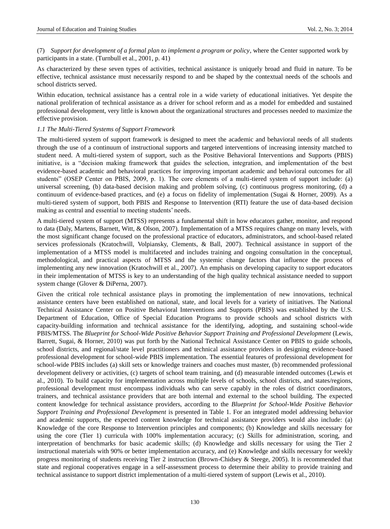(7) *Support for development of a formal plan to implement a program or policy*, where the Center supported work by participants in a state. (Turnbull et al., 2001, p. 41)

As characterized by these seven types of activities, technical assistance is uniquely broad and fluid in nature. To be effective, technical assistance must necessarily respond to and be shaped by the contextual needs of the schools and school districts served.

Within education, technical assistance has a central role in a wide variety of educational initiatives. Yet despite the national proliferation of technical assistance as a driver for school reform and as a model for embedded and sustained professional development, very little is known about the organizational structures and processes needed to maximize the effective provision.

## *1.1 The Multi-Tiered Systems of Support Framework*

The multi-tiered system of support framework is designed to meet the academic and behavioral needs of all students through the use of a continuum of instructional supports and targeted interventions of increasing intensity matched to student need. A multi-tiered system of support, such as the Positive Behavioral Interventions and Supports (PBIS) initiative, is a "decision making framework that guides the selection, integration, and implementation of the best evidence-based academic and behavioral practices for improving important academic and behavioral outcomes for all students" (OSEP Center on PBIS, 2009, p. 1). The core elements of a multi-tiered system of support include: (a) universal screening, (b) data-based decision making and problem solving, (c) continuous progress monitoring, (d) a continuum of evidence-based practices, and (e) a focus on fidelity of implementation (Sugai & Horner, 2009). As a multi-tiered system of support, both PBIS and Response to Intervention (RTI) feature the use of data-based decision making as central and essential to meeting students' needs.

A multi-tiered system of support (MTSS) represents a fundamental shift in how educators gather, monitor, and respond to data (Daly, Martens, Barnett, Witt, & Olson, 2007). Implementation of a MTSS requires change on many levels, with the most significant change focused on the professional practice of educators, administrators, and school-based related services professionals (Kratochwill, Volpiansky, Clements, & Ball, 2007). Technical assistance in support of the implementation of a MTSS model is multifaceted and includes training and ongoing consultation in the conceptual, methodological, and practical aspects of MTSS and the systemic change factors that influence the process of implementing any new innovation (Kratochwill et al., 2007). An emphasis on developing capacity to support educators in their implementation of MTSS is key to an understanding of the high quality technical assistance needed to support system change (Glover & DiPerna, 2007).

Given the critical role technical assistance plays in promoting the implementation of new innovations, technical assistance centers have been established on national, state, and local levels for a variety of initiatives. The National Technical Assistance Center on Positive Behavioral Interventions and Supports (PBIS) was established by the U.S. Department of Education, Office of Special Education Programs to provide schools and school districts with capacity-building information and technical assistance for the identifying, adopting, and sustaining school-wide PBIS/MTSS. The *Blueprint for School-Wide Positive Behavior Support Training and Professional Development* (Lewis, Barrett, Sugai, & Horner, 2010) was put forth by the National Technical Assistance Center on PBIS to guide schools, school districts, and regional/state level practitioners and technical assistance providers in designing evidence-based professional development for school-wide PBIS implementation. The essential features of professional development for school-wide PBIS includes (a) skill sets or knowledge trainers and coaches must master, (b) recommended professional development delivery or activities, (c) targets of school team training, and (d) measurable intended outcomes (Lewis et al., 2010). To build capacity for implementation across multiple levels of schools, school districts, and states/regions, professional development must encompass individuals who can serve capably in the roles of district coordinators, trainers, and technical assistance providers that are both internal and external to the school building. The expected content knowledge for technical assistance providers, according to the *Blueprint for School-Wide Positive Behavior Support Training and Professional Development* is presented in Table 1. For an integrated model addressing behavior and academic supports, the expected content knowledge for technical assistance providers would also include: (a) Knowledge of the core Response to Intervention principles and components; (b) Knowledge and skills necessary for using the core (Tier 1) curricula with 100% implementation accuracy; (c) Skills for administration, scoring, and interpretation of benchmarks for basic academic skills; (d) Knowledge and skills necessary for using the Tier 2 instructional materials with 90% or better implementation accuracy, and (e) Knowledge and skills necessary for weekly progress monitoring of students receiving Tier 2 instruction (Brown-Chidsey & Steege, 2005). It is recommended that state and regional cooperatives engage in a self-assessment process to determine their ability to provide training and technical assistance to support district implementation of a multi-tiered system of support (Lewis et al., 2010).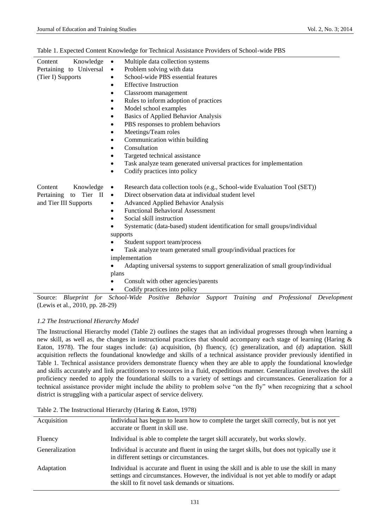|  | Table 1. Expected Content Knowledge for Technical Assistance Providers of School-wide PBS |  |  |  |
|--|-------------------------------------------------------------------------------------------|--|--|--|
|  |                                                                                           |  |  |  |

| Knowledge<br>Content                  | Multiple data collection systems<br>$\bullet$                                         |  |  |  |  |
|---------------------------------------|---------------------------------------------------------------------------------------|--|--|--|--|
| Pertaining to Universal               | Problem solving with data<br>$\bullet$                                                |  |  |  |  |
| (Tier I) Supports                     | School-wide PBS essential features<br>$\bullet$                                       |  |  |  |  |
|                                       | <b>Effective Instruction</b><br>٠                                                     |  |  |  |  |
|                                       | Classroom management<br>$\bullet$                                                     |  |  |  |  |
|                                       | Rules to inform adoption of practices<br>٠                                            |  |  |  |  |
|                                       | Model school examples<br>$\bullet$                                                    |  |  |  |  |
|                                       | Basics of Applied Behavior Analysis<br>٠                                              |  |  |  |  |
|                                       | PBS responses to problem behaviors<br>٠                                               |  |  |  |  |
|                                       | Meetings/Team roles<br>٠                                                              |  |  |  |  |
|                                       | Communication within building<br>٠                                                    |  |  |  |  |
|                                       | Consultation<br>٠                                                                     |  |  |  |  |
|                                       | Targeted technical assistance                                                         |  |  |  |  |
|                                       | Task analyze team generated universal practices for implementation<br>٠               |  |  |  |  |
|                                       | Codify practices into policy<br>$\bullet$                                             |  |  |  |  |
|                                       |                                                                                       |  |  |  |  |
| Knowledge<br>Content                  | Research data collection tools (e.g., School-wide Evaluation Tool (SET))<br>$\bullet$ |  |  |  |  |
| to Tier<br>Pertaining<br>$\mathbf{I}$ | Direct observation data at individual student level<br>$\bullet$                      |  |  |  |  |
| and Tier III Supports                 | <b>Advanced Applied Behavior Analysis</b><br>٠                                        |  |  |  |  |
|                                       | <b>Functional Behavioral Assessment</b><br>٠                                          |  |  |  |  |
|                                       | Social skill instruction<br>٠                                                         |  |  |  |  |
|                                       | Systematic (data-based) student identification for small groups/individual            |  |  |  |  |
|                                       | supports                                                                              |  |  |  |  |
|                                       | Student support team/process                                                          |  |  |  |  |
|                                       | Task analyze team generated small group/individual practices for                      |  |  |  |  |
|                                       | implementation                                                                        |  |  |  |  |
|                                       | Adapting universal systems to support generalization of small group/individual        |  |  |  |  |
|                                       | plans                                                                                 |  |  |  |  |
|                                       | Consult with other agencies/parents                                                   |  |  |  |  |
|                                       | Codify practices into policy                                                          |  |  |  |  |
|                                       |                                                                                       |  |  |  |  |

(Lewis et al., 2010, pp. 28-29)

# *1.2 The Instructional Hierarchy Model*

The Instructional Hierarchy model (Table 2) outlines the stages that an individual progresses through when learning a new skill, as well as, the changes in instructional practices that should accompany each stage of learning (Haring & Eaton, 1978). The four stages include: (a) acquisition, (b) fluency, (c) generalization, and (d) adaptation. Skill acquisition reflects the foundational knowledge and skills of a technical assistance provider previously identified in Table 1. Technical assistance providers demonstrate fluency when they are able to apply the foundational knowledge and skills accurately and link practitioners to resources in a fluid, expeditious manner. Generalization involves the skill proficiency needed to apply the foundational skills to a variety of settings and circumstances. Generalization for a technical assistance provider might include the ability to problem solve "on the fly" when recognizing that a school district is struggling with a particular aspect of service delivery.

|  |  | Table 2. The Instructional Hierarchy (Haring & Eaton, 1978) |  |  |  |  |
|--|--|-------------------------------------------------------------|--|--|--|--|
|--|--|-------------------------------------------------------------|--|--|--|--|

| Acquisition    | Individual has begun to learn how to complete the target skill correctly, but is not yet<br>accurate or fluent in skill use.                                                                                                              |
|----------------|-------------------------------------------------------------------------------------------------------------------------------------------------------------------------------------------------------------------------------------------|
| Fluency        | Individual is able to complete the target skill accurately, but works slowly.                                                                                                                                                             |
| Generalization | Individual is accurate and fluent in using the target skills, but does not typically use it<br>in different settings or circumstances.                                                                                                    |
| Adaptation     | Individual is accurate and fluent in using the skill and is able to use the skill in many<br>settings and circumstances. However, the individual is not yet able to modify or adapt<br>the skill to fit novel task demands or situations. |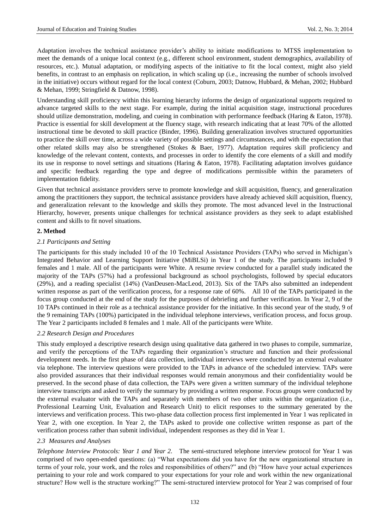Adaptation involves the technical assistance provider's ability to initiate modifications to MTSS implementation to meet the demands of a unique local context (e.g., different school environment, student demographics, availability of resources, etc.). Mutual adaptation, or modifying aspects of the initiative to fit the local context, might also yield benefits, in contrast to an emphasis on replication, in which scaling up (i.e., increasing the number of schools involved in the initiative) occurs without regard for the local context (Coburn, 2003; Datnow, Hubbard, & Mehan, 2002; Hubbard & Mehan, 1999; Stringfield & Datnow, 1998).

Understanding skill proficiency within this learning hierarchy informs the design of organizational supports required to advance targeted skills to the next stage. For example, during the initial acquisition stage, instructional procedures should utilize demonstration, modeling, and cueing in combination with performance feedback (Haring & Eaton, 1978). Practice is essential for skill development at the fluency stage, with research indicating that at least 70% of the allotted instructional time be devoted to skill practice (Binder, 1996). Building generalization involves structured opportunities to practice the skill over time, across a wide variety of possible settings and circumstances, and with the expectation that other related skills may also be strengthened (Stokes & Baer, 1977). Adaptation requires skill proficiency and knowledge of the relevant content, contexts, and processes in order to identify the core elements of a skill and modify its use in response to novel settings and situations (Haring & Eaton, 1978). Facilitating adaptation involves guidance and specific feedback regarding the type and degree of modifications permissible within the parameters of implementation fidelity.

Given that technical assistance providers serve to promote knowledge and skill acquisition, fluency, and generalization among the practitioners they support, the technical assistance providers have already achieved skill acquisition, fluency, and generalization relevant to the knowledge and skills they promote. The most advanced level in the Instructional Hierarchy, however, presents unique challenges for technical assistance providers as they seek to adapt established content and skills to fit novel situations.

## **2. Method**

#### *2.1 Participants and Setting*

The participants for this study included 10 of the 10 Technical Assistance Providers (TAPs) who served in Michigan's Integrated Behavior and Learning Support Initiative (MiBLSi) in Year 1 of the study. The participants included 9 females and 1 male. All of the participants were White. A resume review conducted for a parallel study indicated the majority of the TAPs (57%) had a professional background as school psychologists, followed by special educators (29%), and a reading specialist (14%) (VanDeusen-MacLeod, 2013). Six of the TAPs also submitted an independent written response as part of the verification process, for a response rate of 60%. All 10 of the TAPs participated in the focus group conducted at the end of the study for the purposes of debriefing and further verification. In Year 2, 9 of the 10 TAPs continued in their role as a technical assistance provider for the initiative. In this second year of the study, 9 of the 9 remaining TAPs (100%) participated in the individual telephone interviews, verification process, and focus group. The Year 2 participants included 8 females and 1 male. All of the participants were White.

#### *2.2 Research Design and Procedures*

This study employed a descriptive research design using qualitative data gathered in two phases to compile, summarize, and verify the perceptions of the TAPs regarding their organization's structure and function and their professional development needs. In the first phase of data collection, individual interviews were conducted by an external evaluator via telephone. The interview questions were provided to the TAPs in advance of the scheduled interview. TAPs were also provided assurances that their individual responses would remain anonymous and their confidentiality would be preserved. In the second phase of data collection, the TAPs were given a written summary of the individual telephone interview transcripts and asked to verify the summary by providing a written response. Focus groups were conducted by the external evaluator with the TAPs and separately with members of two other units within the organization (i.e., Professional Learning Unit, Evaluation and Research Unit) to elicit responses to the summary generated by the interviews and verification process. This two-phase data collection process first implemented in Year 1 was replicated in Year 2, with one exception. In Year 2, the TAPs asked to provide one collective written response as part of the verification process rather than submit individual, independent responses as they did in Year 1.

#### *2.3 Measures and Analyses*

*Telephone Interview Protocols: Year 1 and Year 2.* The semi-structured telephone interview protocol for Year 1 was comprised of two open-ended questions: (a) "What expectations did you have for the new organizational structure in terms of your role, your work, and the roles and responsibilities of others?" and (b) "How have your actual experiences pertaining to your role and work compared to your expectations for your role and work within the new organizational structure? How well is the structure working?" The semi-structured interview protocol for Year 2 was comprised of four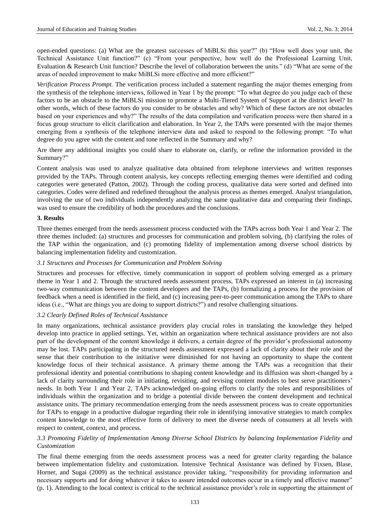open-ended questions: (a) What are the greatest successes of MiBLSi this year?" (b) "How well does your unit, the Technical Assistance Unit function?" (c) "From your perspective, how well do the Professional Learning Unit, Evaluation & Research Unit function? Describe the level of collaboration between the units." (d) "What are some of the areas of needed improvement to make MiBLSi more effective and more efficient?"

*Verification Process Prompt.* The verification process included a statement regarding the major themes emerging from the synthesis of the telephone interviews, followed in Year 1 by the prompt: "To what degree do you judge each of these factors to be an obstacle to the MiBLSi mission to promote a Multi-Tiered System of Support at the district level? In other words, which of these factors do you consider to be obstacles and why? Which of these factors are not obstacles based on your experiences and why?" The results of the data compilation and verification process were then shared in a focus group structure to elicit clarification and elaboration. In Year 2, the TAPs were presented with the major themes emerging from a synthesis of the telephone interview data and asked to respond to the following prompt: "To what degree do you agree with the content and tone reflected in the Summary and why?

Are there any additional insights you could share to elaborate on, clarify, or refine the information provided in the Summary?"

Content analysis was used to analyze qualitative data obtained from telephone interviews and written responses provided by the TAPs. Through content analysis, key concepts reflecting emerging themes were identified and coding categories were generated (Patton, 2002). Through the coding process, qualitative data were sorted and defined into categories. Codes were defined and redefined throughout the analysis process as themes emerged. Analyst triangulation, involving the use of two individuals independently analyzing the same qualitative data and comparing their findings, was used to ensure the credibility of both the procedures and the conclusions.

## **3. Results**

Three themes emerged from the needs assessment process conducted with the TAPs across both Year 1 and Year 2. The three themes included: (a) structures and processes for communication and problem solving, (b) clarifying the roles of the TAP within the organization, and (c) promoting fidelity of implementation among diverse school districts by balancing implementation fidelity and customization.

## *3.1 Structures and Processes for Communication and Problem Solving*

Structures and processes for effective, timely communication in support of problem solving emerged as a primary theme in Year 1 and 2. Through the structured needs assessment process, TAPs expressed an interest in (a) increasing two-way communication between the content developers and the TAPs, (b) formalizing a process for the provision of feedback when a need is identified in the field, and (c) increasing peer-to-peer communication among the TAPs to share ideas (i.e., "What are things you are doing to support districts?") and resolve challenging situations.

## *3.2 Clearly Defined Roles of Technical Assistance*

In many organizations, technical assistance providers play crucial roles in translating the knowledge they helped develop into practice in applied settings. Yet, within an organization where technical assistance providers are not also part of the development of the content knowledge it delivers, a certain degree of the provider's professional autonomy may be lost. TAPs participating in the structured needs assessment expressed a lack of clarity about their role and the sense that their contribution to the initiative were diminished for not having an opportunity to shape the content knowledge focus of their technical assistance. A primary theme among the TAPs was a recognition that their professional identity and potential contributions to shaping content knowledge and its diffusion was short-changed by a lack of clarity surrounding their role in initiating, revisiting, and revising content modules to best serve practitioners' needs. In both Year 1 and Year 2, TAPs acknowledged on-going efforts to clarify the roles and responsibilities of individuals within the organization and to bridge a potential divide between the content development and technical assistance units. The primary recommendation emerging from the needs assessment process was to create opportunities for TAPs to engage in a productive dialogue regarding their role in identifying innovative strategies to match complex content knowledge to the most effective form of delivery to meet the diverse needs of consumers at all levels with respect to content, context, and process.

## *3.3 Promoting Fidelity of Implementation Among Diverse School Districts by balancing Implementation Fidelity and Customization*

The final theme emerging from the needs assessment process was a need for greater clarity regarding the balance between implementation fidelity and customization. Intensive Technical Assistance was defined by Fixsen, Blase, Horner, and Sugai (2009) as the technical assistance provider taking, "responsibility for providing information and necessary supports and for doing whatever it takes to assure intended outcomes occur in a timely and effective manner" (p. 1). Attending to the local context is critical to the technical assistance provider's role in supporting the attainment of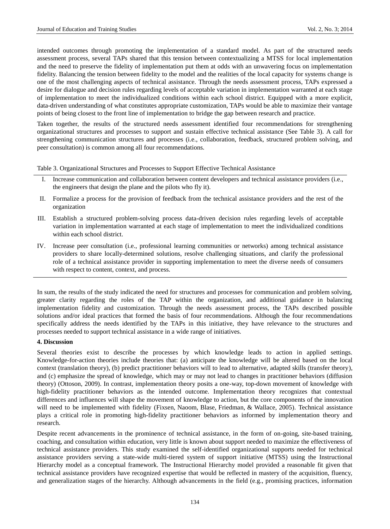intended outcomes through promoting the implementation of a standard model. As part of the structured needs assessment process, several TAPs shared that this tension between contextualizing a MTSS for local implementation and the need to preserve the fidelity of implementation put them at odds with an unwavering focus on implementation fidelity. Balancing the tension between fidelity to the model and the realities of the local capacity for systems change is one of the most challenging aspects of technical assistance. Through the needs assessment process, TAPs expressed a desire for dialogue and decision rules regarding levels of acceptable variation in implementation warranted at each stage of implementation to meet the individualized conditions within each school district. Equipped with a more explicit, data-driven understanding of what constitutes appropriate customization, TAPs would be able to maximize their vantage points of being closest to the front line of implementation to bridge the gap between research and practice.

Taken together, the results of the structured needs assessment identified four recommendations for strengthening organizational structures and processes to support and sustain effective technical assistance (See Table 3). A call for strengthening communication structures and processes (i.e., collaboration, feedback, structured problem solving, and peer consultation) is common among all four recommendations.

Table 3. Organizational Structures and Processes to Support Effective Technical Assistance

- Increase communication and collaboration between content developers and technical assistance providers (i.e., the engineers that design the plane and the pilots who fly it).
- II. Formalize a process for the provision of feedback from the technical assistance providers and the rest of the organization
- III. Establish a structured problem-solving process data-driven decision rules regarding levels of acceptable variation in implementation warranted at each stage of implementation to meet the individualized conditions within each school district.
- IV. Increase peer consultation (i.e., professional learning communities or networks) among technical assistance providers to share locally-determined solutions, resolve challenging situations, and clarify the professional role of a technical assistance provider in supporting implementation to meet the diverse needs of consumers with respect to content, context, and process.

In sum, the results of the study indicated the need for structures and processes for communication and problem solving, greater clarity regarding the roles of the TAP within the organization, and additional guidance in balancing implementation fidelity and customization. Through the needs assessment process, the TAPs described possible solutions and/or ideal practices that formed the basis of four recommendations. Although the four recommendations specifically address the needs identified by the TAPs in this initiative, they have relevance to the structures and processes needed to support technical assistance in a wide range of initiatives.

## **4. Discussion**

Several theories exist to describe the processes by which knowledge leads to action in applied settings. Knowledge-for-action theories include theories that: (a) anticipate the knowledge will be altered based on the local context (translation theory), (b) predict practitioner behaviors will to lead to alternative, adapted skills (transfer theory), and (c) emphasize the spread of knowledge, which may or may not lead to changes in practitioner behaviors (diffusion theory) (Ottoson, 2009). In contrast, implementation theory posits a one-way, top-down movement of knowledge with high-fidelity practitioner behaviors as the intended outcome. Implementation theory recognizes that contextual differences and influences will shape the movement of knowledge to action, but the core components of the innovation will need to be implemented with fidelity (Fixsen, Naoom, Blase, Friedman, & Wallace, 2005). Technical assistance plays a critical role in promoting high-fidelity practitioner behaviors as informed by implementation theory and research.

Despite recent advancements in the prominence of technical assistance, in the form of on-going, site-based training, coaching, and consultation within education, very little is known about support needed to maximize the effectiveness of technical assistance providers. This study examined the self-identified organizational supports needed for technical assistance providers serving a state-wide multi-tiered system of support initiative (MTSS) using the Instructional Hierarchy model as a conceptual framework. The Instructional Hierarchy model provided a reasonable fit given that technical assistance providers have recognized expertise that would be reflected in mastery of the acquisition, fluency, and generalization stages of the hierarchy. Although advancements in the field (e.g., promising practices, information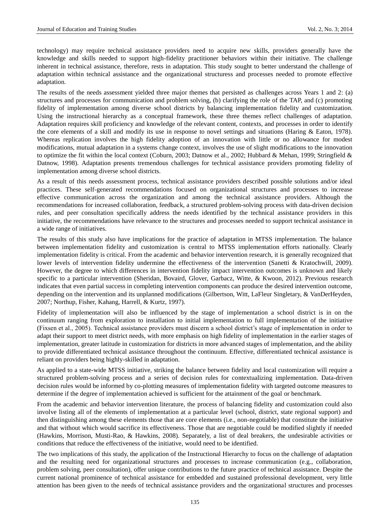technology) may require technical assistance providers need to acquire new skills, providers generally have the knowledge and skills needed to support high-fidelity practitioner behaviors within their initiative. The challenge inherent in technical assistance, therefore, rests in adaptation. This study sought to better understand the challenge of adaptation within technical assistance and the organizational structuress and processes needed to promote effective adaptation.

The results of the needs assessment yielded three major themes that persisted as challenges across Years 1 and 2: (a) structures and processes for communication and problem solving, (b) clarifying the role of the TAP, and (c) promoting fidelity of implementation among diverse school districts by balancing implementation fidelity and customization. Using the instructional hierarchy as a conceptual framework, these three themes reflect challenges of adaptation. Adaptation requires skill proficiency and knowledge of the relevant content, contexts, and processes in order to identify the core elements of a skill and modify its use in response to novel settings and situations (Haring & Eaton, 1978). Whereas replication involves the high fidelity adoption of an innovation with little or no allowance for modest modifications, mutual adaptation in a systems change context, involves the use of slight modifications to the innovation to optimize the fit within the local context (Coburn, 2003; Datnow et al., 2002; Hubbard & Mehan, 1999; Stringfield & Datnow, 1998). Adaptation presents tremendous challenges for technical assistance providers promoting fidelity of implementation among diverse school districts.

As a result of this needs assessment process, technical assistance providers described possible solutions and/or ideal practices. These self-generated recommendations focused on organizational structures and processes to increase effective communication across the organization and among the technical assistance providers. Although the recommendations for increased collaboration, feedback, a structured problem-solving process with data-driven decision rules, and peer consultation specifically address the needs identified by the technical assistance providers in this initiative, the recommendations have relevance to the structures and processes needed to support technical assistance in a wide range of initiatives.

The results of this study also have implications for the practice of adaptation in MTSS implementation. The balance between implementation fidelity and customization is central to MTSS implementation efforts nationally. Clearly implementation fidelity is critical. From the academic and behavior intervention research, it is generally recognized that lower levels of intervention fidelity undermine the effectiveness of the intervention (Sanetti & Kratochwill, 2009). However, the degree to which differences in intervention fidelity impact intervention outcomes is unknown and likely specific to a particular intervention (Sheridan, Bovaird, Glover, Garbacz, Witte, & Kwoon, 2012). Previous research indicates that even partial success in completing intervention components can produce the desired intervention outcome, depending on the intervention and its unplanned modifications (Gilbertson, Witt, LaFleur Singletary, & VanDerHeyden, 2007; Northup, Fisher, Kahang, Harrell, & Kurtz, 1997).

Fidelity of implementation will also be influenced by the stage of implementation a school district is in on the continuum ranging from exploration to installation to initial implementation to full implementation of the initiative (Fixsen et al., 2005). Technical assistance providers must discern a school district's stage of implementation in order to adapt their support to meet district needs, with more emphasis on high fidelity of implementation in the earlier stages of implementation, greater latitude in customization for districts in more advanced stages of implementation, and the ability to provide differentiated technical assistance throughout the continuum. Effective, differentiated technical assistance is reliant on providers being highly-skilled in adaptation.

As applied to a state-wide MTSS initiative, striking the balance between fidelity and local customization will require a structured problem-solving process and a series of decision rules for contextualizing implementation. Data-driven decision rules would be informed by co-plotting measures of implementation fidelity with targeted outcome measures to determine if the degree of implementation achieved is sufficient for the attainment of the goal or benchmark.

From the academic and behavior intervention literature, the process of balancing fidelity and customization could also involve listing all of the elements of implementation at a particular level (school, district, state regional support) and then distinguishing among these elements those that are core elements (i.e., non-negotiable) that constitute the initiative and that without which would sacrifice its effectiveness. Those that are negotiable could be modified slightly if needed (Hawkins, Morrison, Musti-Rao, & Hawkins, 2008). Separately, a list of deal breakers, the undesirable activities or conditions that reduce the effectiveness of the initiative, would need to be identified.

The two implications of this study, the application of the Instructional Hierarchy to focus on the challenge of adaptation and the resulting need for organizational structures and processes to increase communication (e.g., collaboration, problem solving, peer consultation), offer unique contributions to the future practice of technical assistance. Despite the current national prominence of technical assistance for embedded and sustained professional development, very little attention has been given to the needs of technical assistance providers and the organizational structures and processes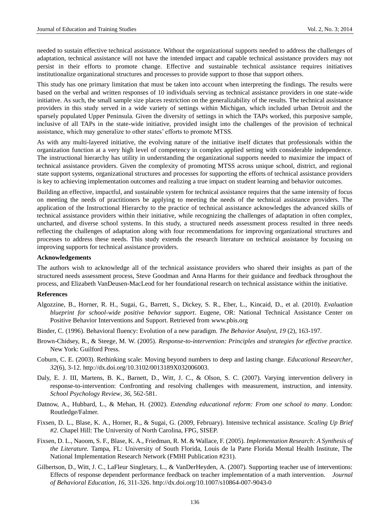needed to sustain effective technical assistance. Without the organizational supports needed to address the challenges of adaptation, technical assistance will not have the intended impact and capable technical assistance providers may not persist in their efforts to promote change. Effective and sustainable technical assistance requires initiatives institutionalize organizational structures and processes to provide support to those that support others.

This study has one primary limitation that must be taken into account when interpreting the findings. The results were based on the verbal and written responses of 10 individuals serving as technical assistance providers in one state-wide initiative. As such, the small sample size places restriction on the generalizability of the results. The technical assistance providers in this study served in a wide variety of settings within Michigan, which included urban Detroit and the sparsely populated Upper Peninsula. Given the diversity of settings in which the TAPs worked, this purposive sample, inclusive of all TAPs in the state-wide initiative, provided insight into the challenges of the provision of technical assistance, which may generalize to other states' efforts to promote MTSS.

As with any multi-layered initiative, the evolving nature of the initiative itself dictates that professionals within the organization function at a very high level of competency in complex applied setting with considerable independence. The instructional hierarchy has utility in understanding the organizational supports needed to maximize the impact of technical assistance providers. Given the complexity of promoting MTSS across unique school, district, and regional state support systems, organizational structures and processes for supporting the efforts of technical assistance providers is key to achieving implementation outcomes and realizing a true impact on student learning and behavior outcomes.

Building an effective, impactful, and sustainable system for technical assistance requires that the same intensity of focus on meeting the needs of practitioners be applying to meeting the needs of the technical assistance providers. The application of the Instructional Hierarchy to the practice of technical assistance acknowledges the advanced skills of technical assistance providers within their initiative, while recognizing the challenges of adaptation in often complex, uncharted, and diverse school systems. In this study, a structured needs assessment process resulted in three needs reflecting the challenges of adaptation along with four recommendations for improving organizational structures and processes to address these needs. This study extends the research literature on technical assistance by focusing on improving supports for technical assistance providers.

#### **Acknowledgements**

The authors wish to acknowledge all of the technical assistance providers who shared their insights as part of the structured needs assessment process, Steve Goodman and Anna Harms for their guidance and feedback throughout the process, and Elizabeth VanDeusen-MacLeod for her foundational research on technical assistance within the initiative.

#### **References**

- Algozzine, B., Horner, R. H., Sugai, G., Barrett, S., Dickey, S. R., Eber, L., Kincaid, D., et al. (2010). *Evaluation blueprint for school-wide positive behavior support*. Eugene, OR: National Technical Assistance Center on Positive Behavior Interventions and Support. Retrieved from [www.pbis.org](http://www.pbis.org/)
- Binder, C. (1996). Behavioral fluency: Evolution of a new paradigm. *The Behavior Analyst, 19* (2), 163-197.
- Brown-Chidsey, R., & Steege, M. W. (2005). *Response-to-intervention: Principles and strategies for effective practice.* New York: Guilford Press.
- Coburn, C. E. (2003). Rethinking scale: Moving beyond numbers to deep and lasting change*. Educational Researcher*, *32*(6), 3-12. http://dx.doi.org/10.3102/0013189X032006003.
- Daly, E. J. III, Martens, B. K., Barnett, D., Witt, J. C., & Olson, S. C. (2007). Varying intervention delivery in response-to-intervention: Confronting and resolving challenges with measurement, instruction, and intensity. *School Psychology Review*, *36*, 562-581.
- Datnow, A., Hubbard, L., & Mehan, H. (2002). *Extending educational reform: From one school to many*. London: Routledge/Falmer.
- Fixsen, D. L., Blase, K. A., Horner, R., & Sugai, G. (2009, February). Intensive technical assistance. *Scaling Up Brief #2*. Chapel Hill: The University of North Carolina, FPG, SISEP.
- Fixsen, D. L., Naoom, S. F., Blase, K. A., Friedman, R. M. & Wallace, F. (2005). *Implementation Research: A Synthesis of the Literature.* Tampa, FL: University of South Florida, Louis de la Parte Florida Mental Health Institute, The National Implementation Research Network (FMHI Publication #231).
- Gilbertson, D., Witt, J. C., LaFleur Singletary, L., & VanDerHeyden, A. (2007). Supporting teacher use of interventions: Effects of response dependent performance feedback on teacher implementation of a math intervention. *Journal of Behavioral Education*, *16*, 311-326. http://dx.doi.org/10.1007/s10864-007-9043-0